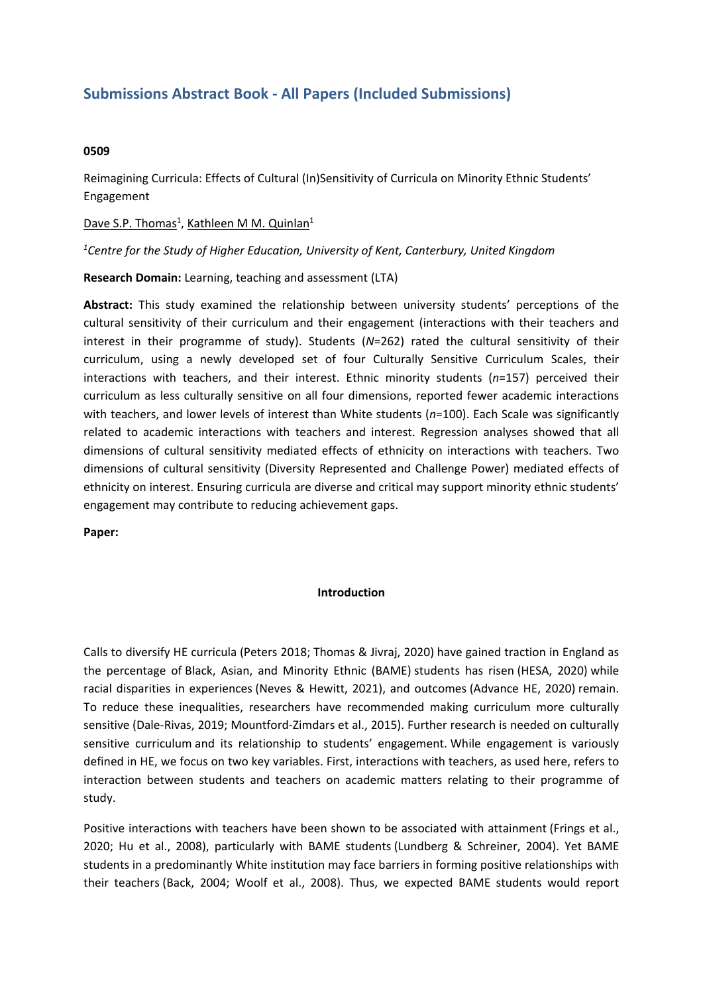# **Submissions Abstract Book - All Papers (Included Submissions)**

#### **0509**

Reimagining Curricula: Effects of Cultural (In)Sensitivity of Curricula on Minority Ethnic Students' Engagement

Dave S.P. Thomas<sup>1</sup>, Kathleen M M. Quinlan<sup>1</sup>

*1 Centre for the Study of Higher Education, University of Kent, Canterbury, United Kingdom*

**Research Domain:** Learning, teaching and assessment (LTA)

**Abstract:** This study examined the relationship between university students' perceptions of the cultural sensitivity of their curriculum and their engagement (interactions with their teachers and interest in their programme of study). Students (*N*=262) rated the cultural sensitivity of their curriculum, using <sup>a</sup> newly developed set of four Culturally Sensitive Curriculum Scales, their interactions with teachers, and their interest. Ethnic minority students (*n*=157) perceived their curriculum as less culturally sensitive on all four dimensions, reported fewer academic interactions with teachers, and lower levels of interest than White students (*n*=100). Each Scale was significantly related to academic interactions with teachers and interest. Regression analyses showed that all dimensions of cultural sensitivity mediated effects of ethnicity on interactions with teachers. Two dimensions of cultural sensitivity (Diversity Represented and Challenge Power) mediated effects of ethnicity on interest. Ensuring curricula are diverse and critical may support minority ethnic students' engagement may contribute to reducing achievement gaps.

**Paper:**

### **Introduction**

Calls to diversify HE curricula (Peters 2018; Thomas & Jivraj, 2020) have gained traction in England as the percentage of Black, Asian, and Minority Ethnic (BAME) students has risen (HESA, 2020) while racial disparities in experiences (Neves & Hewitt, 2021), and outcomes (Advance HE, 2020) remain. To reduce these inequalities, researchers have recommended making curriculum more culturally sensitive (Dale-Rivas, 2019; Mountford-Zimdars et al., 2015). Further research is needed on culturally sensitive curriculum and its relationship to students' engagement. While engagement is variously defined in HE, we focus on two key variables. First, interactions with teachers, as used here, refers to interaction between students and teachers on academic matters relating to their programme of study.

Positive interactions with teachers have been shown to be associated with attainment (Frings et al., 2020; Hu et al., 2008), particularly with BAME students (Lundberg & Schreiner, 2004). Yet BAME students in <sup>a</sup> predominantly White institution may face barriers in forming positive relationships with their teachers (Back, 2004; Woolf et al., 2008). Thus, we expected BAME students would report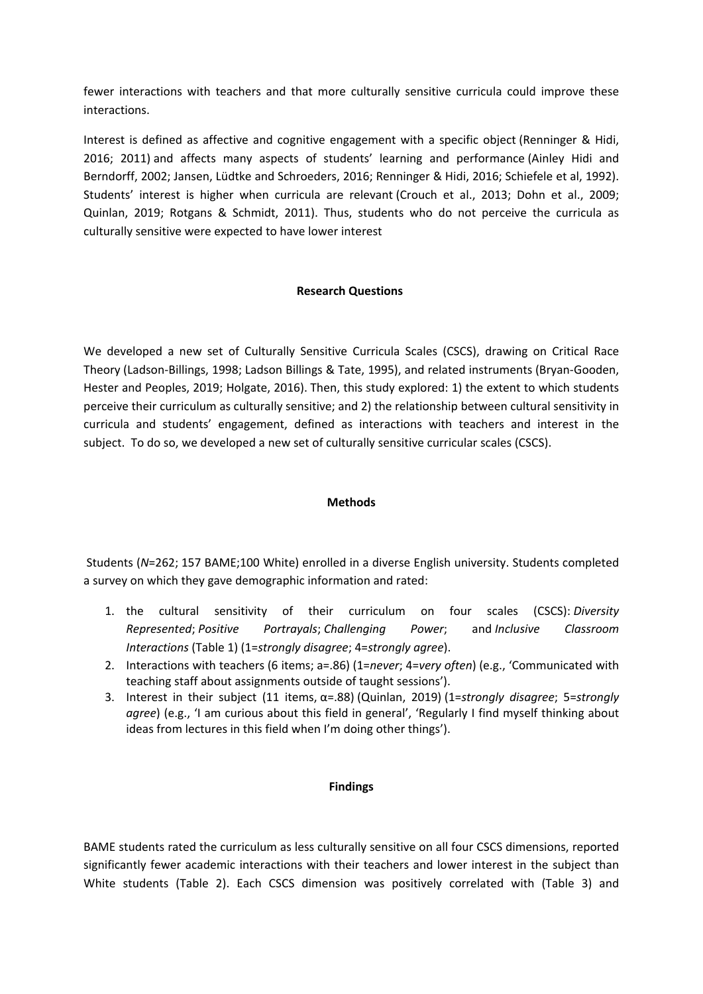fewer interactions with teachers and that more culturally sensitive curricula could improve these interactions.

Interest is defined as affective and cognitive engagement with <sup>a</sup> specific object (Renninger & Hidi, 2016; 2011) and affects many aspects of students' learning and performance (Ainley Hidi and Berndorff, 2002; Jansen, Lüdtke and Schroeders, 2016; Renninger & Hidi, 2016; Schiefele et al, 1992). Students' interest is higher when curricula are relevant (Crouch et al., 2013; Dohn et al., 2009; Quinlan, 2019; Rotgans & Schmidt, 2011). Thus, students who do not perceive the curricula as culturally sensitive were expected to have lower interest

## **Research Questions**

We developed <sup>a</sup> new set of Culturally Sensitive Curricula Scales (CSCS), drawing on Critical Race Theory (Ladson-Billings, 1998; Ladson Billings & Tate, 1995), and related instruments (Bryan-Gooden, Hester and Peoples, 2019; Holgate, 2016). Then, this study explored: 1) the extent to which students perceive their curriculum as culturally sensitive; and 2) the relationship between cultural sensitivity in curricula and students' engagement, defined as interactions with teachers and interest in the subject. To do so, we developed <sup>a</sup> new set of culturally sensitive curricular scales (CSCS).

### **Methods**

 Students (*N*=262; 157 BAME;100 White) enrolled in <sup>a</sup> diverse English university. Students completed <sup>a</sup> survey on which they gave demographic information and rated:

- 1. the cultural sensitivity of their curriculum on four scales (CSCS): *Diversity Represented*; *Positive Portrayals*; *Challenging Power*; and *Inclusive Classroom Interactions* (Table 1) (1=*strongly disagree*; 4=*strongly agree*).
- 2. Interactions with teachers (6 items; a=.86) (1=*never*; 4=*very often*) (e.g., 'Communicated with teaching staff about assignments outside of taught sessions').
- 3. Interest in their subject (11 items, α=.88) (Quinlan, 2019) (1=*strongly disagree*; 5=*strongly agree*) (e.g., 'I am curious about this field in general', 'Regularly I find myself thinking about ideas from lectures in this field when I'm doing other things').

### **Findings**

BAME students rated the curriculum as less culturally sensitive on all four CSCS dimensions, reported significantly fewer academic interactions with their teachers and lower interest in the subject than White students (Table 2). Each CSCS dimension was positively correlated with (Table 3) and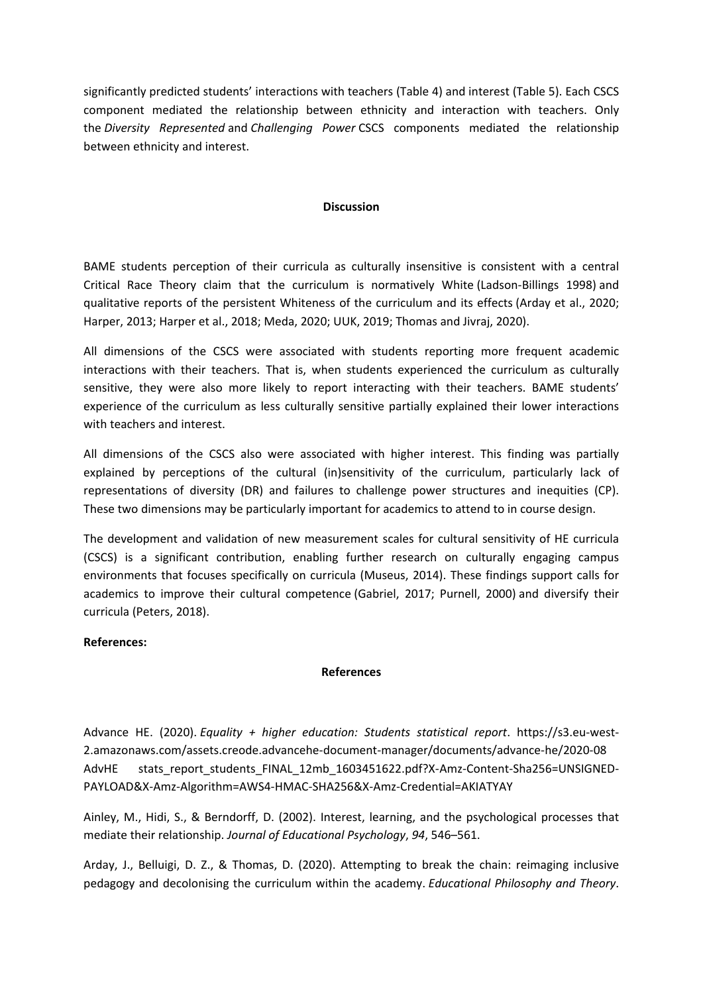significantly predicted students' interactions with teachers (Table 4) and interest (Table 5). Each CSCS component mediated the relationship between ethnicity and interaction with teachers. Only the *Diversity Represented* and *Challenging Power* CSCS components mediated the relationship between ethnicity and interest.

### **Discussion**

BAME students perception of their curricula as culturally insensitive is consistent with <sup>a</sup> central Critical Race Theory claim that the curriculum is normatively White (Ladson-Billings 1998) and qualitative reports of the persistent Whiteness of the curriculum and its effects (Arday et al., 2020; Harper, 2013; Harper et al., 2018; Meda, 2020; UUK, 2019; Thomas and Jivraj, 2020).

All dimensions of the CSCS were associated with students reporting more frequent academic interactions with their teachers. That is, when students experienced the curriculum as culturally sensitive, they were also more likely to report interacting with their teachers. BAME students' experience of the curriculum as less culturally sensitive partially explained their lower interactions with teachers and interest.

All dimensions of the CSCS also were associated with higher interest. This finding was partially explained by perceptions of the cultural (in)sensitivity of the curriculum, particularly lack of representations of diversity (DR) and failures to challenge power structures and inequities (CP). These two dimensions may be particularly important for academics to attend to in course design.

The development and validation of new measurement scales for cultural sensitivity of HE curricula (CSCS) is <sup>a</sup> significant contribution, enabling further research on culturally engaging campus environments that focuses specifically on curricula (Museus, 2014). These findings support calls for academics to improve their cultural competence (Gabriel, 2017; Purnell, 2000) and diversify their curricula (Peters, 2018).

### **References:**

### **References**

Advance HE. (2020). *Equality <sup>+</sup> higher education: Students statistical report*. https://s3.eu-west-2.amazonaws.com/assets.creode.advancehe-document-manager/documents/advance-he/2020-08 AdvHE stats report students FINAL 12mb 1603451622.pdf?X-Amz-Content-Sha256=UNSIGNED-PAYLOAD&X-Amz-Algorithm=AWS4-HMAC-SHA256&X-Amz-Credential=AKIATYAY

Ainley, M., Hidi, S., & Berndorff, D. (2002). Interest, learning, and the psychological processes that mediate their relationship. *Journal of Educational Psychology*, *94*, 546–561.

Arday, J., Belluigi, D. Z., & Thomas, D. (2020). Attempting to break the chain: reimaging inclusive pedagogy and decolonising the curriculum within the academy. *Educational Philosophy and Theory*.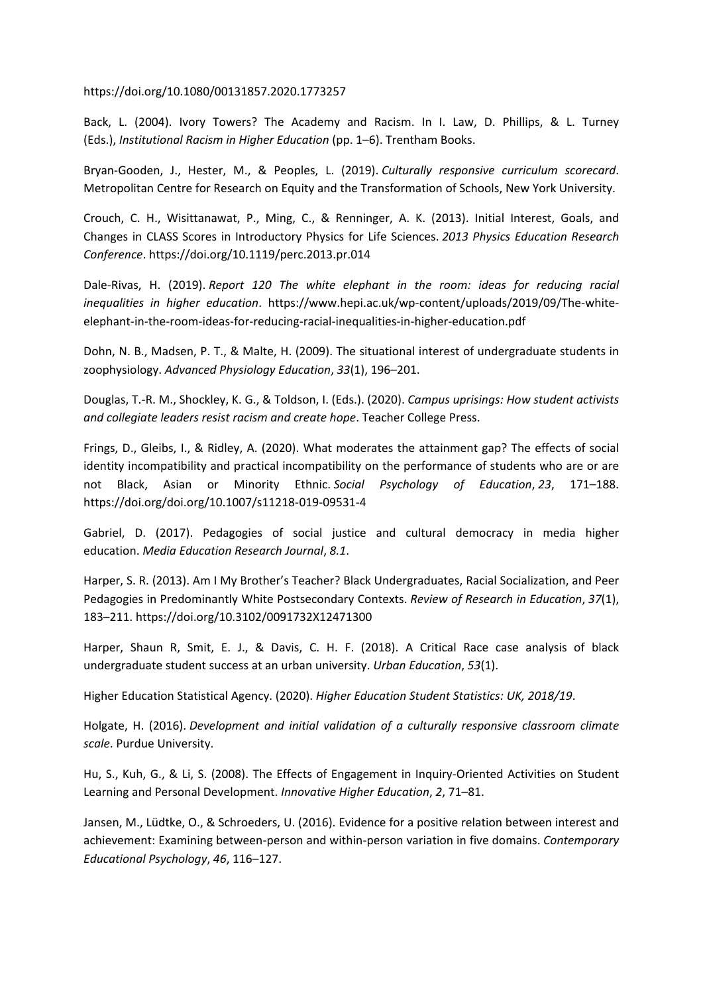https://doi.org/10.1080/00131857.2020.1773257

Back, L. (2004). Ivory Towers? The Academy and Racism. In I. Law, D. Phillips, & L. Turney (Eds.), *Institutional Racism in Higher Education* (pp. 1–6). Trentham Books.

Bryan-Gooden, J., Hester, M., & Peoples, L. (2019). *Culturally responsive curriculum scorecard*. Metropolitan Centre for Research on Equity and the Transformation of Schools, New York University.

Crouch, C. H., Wisittanawat, P., Ming, C., & Renninger, A. K. (2013). Initial Interest, Goals, and Changes in CLASS Scores in Introductory Physics for Life Sciences. *2013 Physics Education Research Conference*. https://doi.org/10.1119/perc.2013.pr.014

Dale-Rivas, H. (2019). *Report 120 The white elephant in the room: ideas for reducing racial inequalities in higher education*. https://www.hepi.ac.uk/wp-content/uploads/2019/09/The-whiteelephant-in-the-room-ideas-for-reducing-racial-inequalities-in-higher-education.pdf

Dohn, N. B., Madsen, P. T., & Malte, H. (2009). The situational interest of undergraduate students in zoophysiology. *Advanced Physiology Education*, *33*(1), 196–201.

Douglas, T.-R. M., Shockley, K. G., & Toldson, I. (Eds.). (2020). *Campus uprisings: How student activists and collegiate leaders resist racism and create hope*. Teacher College Press.

Frings, D., Gleibs, I., & Ridley, A. (2020). What moderates the attainment gap? The effects of social identity incompatibility and practical incompatibility on the performance of students who are or are not Black, Asian or Minority Ethnic. *Social Psychology of Education*, *23*, 171–188. https://doi.org/doi.org/10.1007/s11218-019-09531-4

Gabriel, D. (2017). Pedagogies of social justice and cultural democracy in media higher education. *Media Education Research Journal*, *8.1*.

Harper, S. R. (2013). Am I My Brother's Teacher? Black Undergraduates, Racial Socialization, and Peer Pedagogies in Predominantly White Postsecondary Contexts. *Review of Research in Education*, *37*(1), 183–211. https://doi.org/10.3102/0091732X12471300

Harper, Shaun R, Smit, E. J., & Davis, C. H. F. (2018). A Critical Race case analysis of black undergraduate student success at an urban university. *Urban Education*, *53*(1).

Higher Education Statistical Agency. (2020). *Higher Education Student Statistics: UK, 2018/19*.

Holgate, H. (2016). *Development and initial validation of <sup>a</sup> culturally responsive classroom climate scale*. Purdue University.

Hu, S., Kuh, G., & Li, S. (2008). The Effects of Engagement in Inquiry-Oriented Activities on Student Learning and Personal Development. *Innovative Higher Education*, *2*, 71–81.

Jansen, M., Lüdtke, O., & Schroeders, U. (2016). Evidence for a positive relation between interest and achievement: Examining between-person and within-person variation in five domains. *Contemporary Educational Psychology*, *46*, 116–127.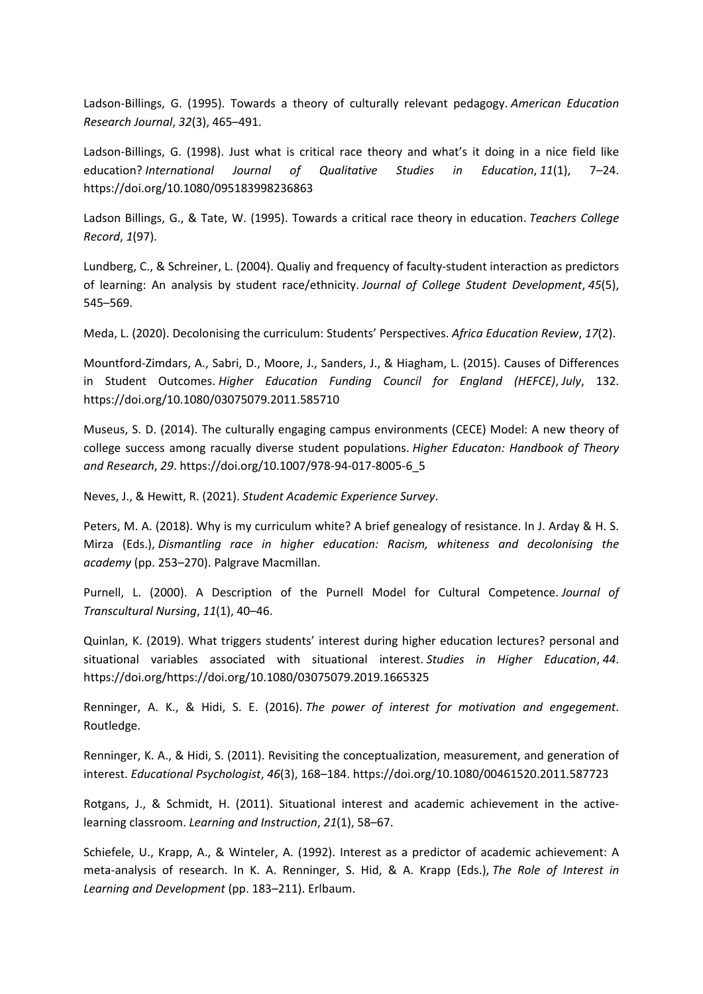Ladson-Billings, G. (1995). Towards <sup>a</sup> theory of culturally relevant pedagogy. *American Education Research Journal*, *32*(3), 465–491.

Ladson-Billings, G. (1998). Just what is critical race theory and what's it doing in <sup>a</sup> nice field like education? *International Journal of Qualitative Studies in Education*, *11*(1), 7–24. https://doi.org/10.1080/095183998236863

Ladson Billings, G., & Tate, W. (1995). Towards <sup>a</sup> critical race theory in education. *Teachers College Record*, *1*(97).

Lundberg, C., & Schreiner, L. (2004). Qualiy and frequency of faculty-student interaction as predictors of learning: An analysis by student race/ethnicity. *Journal of College Student Development*, *45*(5), 545–569.

Meda, L. (2020). Decolonising the curriculum: Students' Perspectives. *Africa Education Review*, *17*(2).

Mountford-Zimdars, A., Sabri, D., Moore, J., Sanders, J., & Hiagham, L. (2015). Causes of Differences in Student Outcomes. *Higher Education Funding Council for England (HEFCE)*, *July*, 132. https://doi.org/10.1080/03075079.2011.585710

Museus, S. D. (2014). The culturally engaging campus environments (CECE) Model: A new theory of college success among racually diverse student populations. *Higher Educaton: Handbook of Theory and Research*, *29*. https://doi.org/10.1007/978-94-017-8005-6\_5

Neves, J., &Hewitt, R. (2021). *Student Academic Experience Survey*.

Peters, M. A. (2018). Why is my curriculum white? A brief genealogy of resistance. In J. Arday & H. S. Mirza (Eds.), *Dismantling race in higher education: Racism, whiteness and decolonising the academy* (pp. 253–270). Palgrave Macmillan.

Purnell, L. (2000). A Description of the Purnell Model for Cultural Competence. *Journal of Transcultural Nursing*, *11*(1), 40–46.

Quinlan, K. (2019). What triggers students' interest during higher education lectures? personal and situational variables associated with situational interest. *Studies in Higher Education*, *44*. https://doi.org/https://doi.org/10.1080/03075079.2019.1665325

Renninger, A. K., & Hidi, S. E. (2016). *The power of interest for motivation and engegement*. Routledge.

Renninger, K. A., & Hidi, S. (2011). Revisiting the conceptualization, measurement, and generation of interest. *Educational Psychologist*, *46*(3), 168–184. https://doi.org/10.1080/00461520.2011.587723

Rotgans, J., & Schmidt, H. (2011). Situational interest and academic achievement in the activelearning classroom. *Learning and Instruction*, *21*(1), 58–67.

Schiefele, U., Krapp, A., & Winteler, A. (1992). Interest as <sup>a</sup> predictor of academic achievement: A meta-analysis of research. In K. A. Renninger, S. Hid, & A. Krapp (Eds.), *The Role of Interest in Learning and Development* (pp. 183–211). Erlbaum.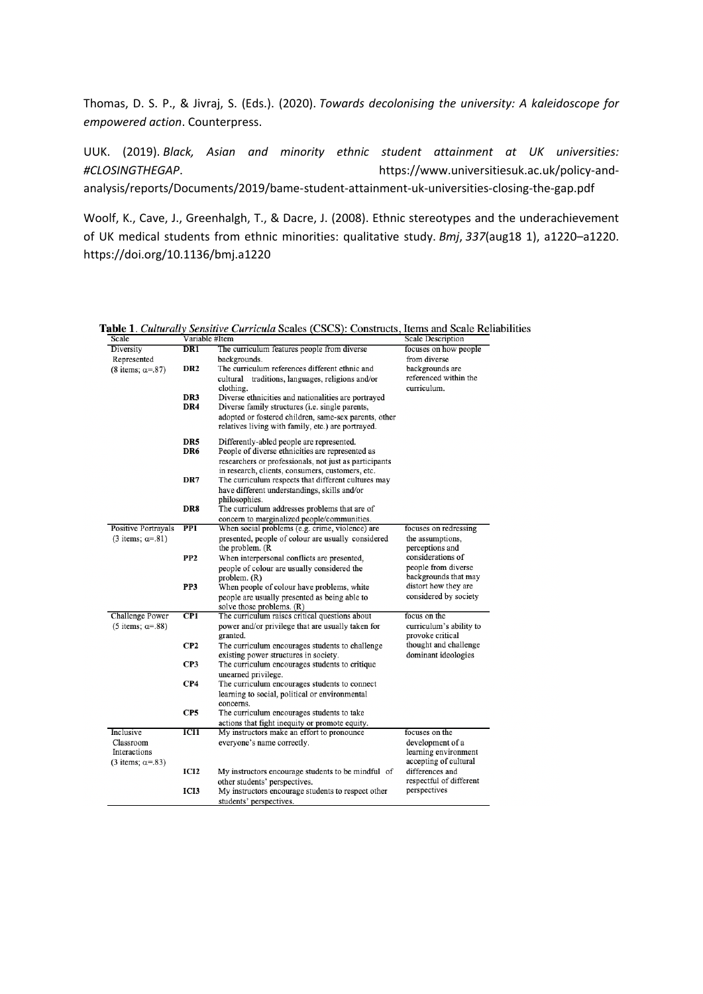Thomas, D. S. P., & Jivraj, S. (Eds.). (2020). *Towards decolonising the university: A kaleidoscope for empowered action*. Counterpress.

UUK. (2019). *Black, Asian and minority ethnic student attainment at UK universities: #CLOSINGTHEGAP*. https://www.universitiesuk.ac.uk/policy-andanalysis/reports/Documents/2019/bame-student-attainment-uk-universities-closing-the-gap.pdf

Woolf, K., Cave, J., Greenhalgh, T., & Dacre, J. (2008). Ethnic stereotypes and the underachievement of UK medical students from ethnic minorities: qualitative study. *Bmj*, *337*(aug18 1), a1220–a1220. https://doi.org/10.1136/bmj.a1220

| Scale                                         | Variable #Item                                                                                                                                                                                                        | <b>Scale Description</b>                                          |
|-----------------------------------------------|-----------------------------------------------------------------------------------------------------------------------------------------------------------------------------------------------------------------------|-------------------------------------------------------------------|
| Diversity<br>DR <sub>1</sub>                  | The curriculum features people from diverse                                                                                                                                                                           | focuses on how people                                             |
| Represented                                   | backgrounds.                                                                                                                                                                                                          | from diverse                                                      |
| DR <sub>2</sub><br>(8 items; $\alpha = .87$ ) | The curriculum references different ethnic and<br>cultural traditions, languages, religions and/or<br>clothing.                                                                                                       | backgrounds are<br>referenced within the<br>curriculum.           |
| DR3<br>DR4                                    | Diverse ethnicities and nationalities are portrayed<br>Diverse family structures (i.e. single parents,<br>adopted or fostered children, same-sex parents, other<br>relatives living with family, etc.) are portrayed. |                                                                   |
| DR5<br>DR6                                    | Differently-abled people are represented.<br>People of diverse ethnicities are represented as<br>researchers or professionals, not just as participants                                                               |                                                                   |
| DR7                                           | in research, clients, consumers, customers, etc.<br>The curriculum respects that different cultures may<br>have different understandings, skills and/or<br>philosophies.                                              |                                                                   |
| DR8                                           | The curriculum addresses problems that are of<br>concern to marginalized people/communities.                                                                                                                          |                                                                   |
| <b>Positive Portrayals</b><br>PP <sub>1</sub> | When social problems (e.g. crime, violence) are                                                                                                                                                                       | focuses on redressing                                             |
| $(3$ items; $\alpha = .81$ )                  | presented, people of colour are usually considered<br>the problem. (R                                                                                                                                                 | the assumptions,<br>perceptions and                               |
| PP <sub>2</sub>                               | When interpersonal conflicts are presented,<br>people of colour are usually considered the<br>problem. (R)                                                                                                            | considerations of<br>people from diverse<br>backgrounds that may  |
| PP <sub>3</sub>                               | When people of colour have problems, white<br>people are usually presented as being able to                                                                                                                           | distort how they are<br>considered by society                     |
| CP1<br><b>Challenge Power</b>                 | solve those problems. (R)<br>The curriculum raises critical questions about                                                                                                                                           | focus on the                                                      |
| (5 items; $\alpha = .88$ )                    | power and/or privilege that are usually taken for<br>granted.                                                                                                                                                         | curriculum's ability to<br>provoke critical                       |
| CP2                                           | The curriculum encourages students to challenge<br>existing power structures in society.                                                                                                                              | thought and challenge<br>dominant ideologies                      |
| CP3                                           | The curriculum encourages students to critique<br>unearned privilege.                                                                                                                                                 |                                                                   |
| CP4                                           | The curriculum encourages students to connect<br>learning to social, political or environmental<br>concerns.                                                                                                          |                                                                   |
| CP5                                           | The curriculum encourages students to take<br>actions that fight inequity or promote equity.                                                                                                                          |                                                                   |
| Inclusive<br>ICI1                             | My instructors make an effort to pronounce                                                                                                                                                                            | focuses on the                                                    |
| Classroom<br>Interactions                     | everyone's name correctly.                                                                                                                                                                                            | development of a<br>learning environment<br>accepting of cultural |
| (3 items; $\alpha = 83$ )<br>ICI2             | My instructors encourage students to be mindful of                                                                                                                                                                    | differences and                                                   |
|                                               | other students' perspectives.<br>ICI3<br>My instructors encourage students to respect other                                                                                                                           | respectful of different<br>perspectives                           |

Table 1. Culturally Sensitive Curricula Scales (CSCS): Constructs, Items and Scale Reliabilities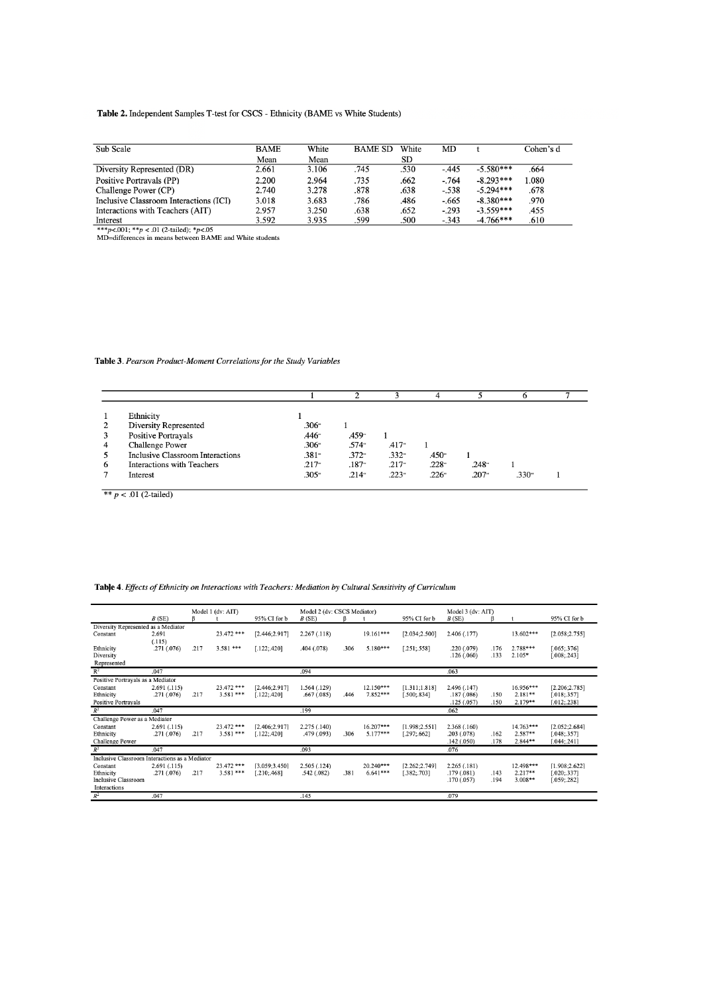#### Table 2. Independent Samples T-test for CSCS - Ethnicity (BAME vs White Students)

| Sub Scale                              | <b>BAME</b> | White | <b>BAME SD</b> | White | MD      |             | Cohen's d |
|----------------------------------------|-------------|-------|----------------|-------|---------|-------------|-----------|
|                                        | Mean        | Mean  |                | SD    |         |             |           |
| Diversity Represented (DR)             | 2.661       | 3.106 | .745           | .530  | $-.445$ | $-5.580***$ | .664      |
| Positive Portravals (PP)               | 2.200       | 2.964 | .735           | .662  | $-764$  | $-8.293***$ | .080      |
| Challenge Power (CP)                   | 2.740       | 3.278 | .878           | .638  | $-.538$ | $-5.294***$ | .678      |
| Inclusive Classroom Interactions (ICI) | 3.018       | 3.683 | .786           | 486   | $-.665$ | $-8.380***$ | .970      |
| Interactions with Teachers (AIT)       | 2.957       | 3.250 | .638           | .652  | $-.293$ | $-3.559***$ | .455      |
| Interest                               | 3.592       | 3.935 | .599           | .500  | $-.343$ | $-4.766***$ | .610      |

 $***p<001; **p<01$  (2-tailed); \*p<.05<br>MD=differences in means between BAME and White students

#### Table 3. Pearson Product-Moment Correlations for the Study Variables

|   | Ethnicity                         |                |                     |          |                   |          |                   |  |
|---|-----------------------------------|----------------|---------------------|----------|-------------------|----------|-------------------|--|
| 2 | Diversity Represented             | $.306^{\circ}$ |                     |          |                   |          |                   |  |
| 3 | Positive Portrayals               | $.446 -$       | .459 <sup>*</sup>   |          |                   |          |                   |  |
| 4 | <b>Challenge Power</b>            | .306"          | $.574$ <sup>*</sup> | $.417 -$ |                   |          |                   |  |
|   | Inclusive Classroom Interactions  | $.381 -$       | $.372 -$            | $.332 -$ | .450 <sup>*</sup> |          |                   |  |
| 6 | <b>Interactions with Teachers</b> | $.217 -$       | $.187 -$            | $.217 -$ | $.228 -$          | $.248 -$ |                   |  |
|   | Interest                          | $.305 -$       | $.214 -$            | $.223 -$ | $.226 -$          | $.207 -$ | .330 <sup>°</sup> |  |

\*\*  $p < .01$  (2-tailed)

#### Table 4. Effects of Ethnicity on Interactions with Teachers: Mediation by Cultural Sensitivity of Curriculum

|                                                |             |      | Model 1 (dv: AIT) |                | Model 2 (dv: CSCS Mediator) |      |             | Model 3 (dv: AIT) |              |      |             |                |
|------------------------------------------------|-------------|------|-------------------|----------------|-----------------------------|------|-------------|-------------------|--------------|------|-------------|----------------|
|                                                | B(SE)       |      |                   | 95% CI for b   | B(SE)                       | ß.   |             | 95% CI for b      | B(SE)        |      |             | 95% CI for b   |
| Diversity Represented as a Mediator            |             |      |                   |                |                             |      |             |                   |              |      |             |                |
| Constant                                       | 2.691       |      | 23.472 ***        | [2.446; 2.917] | 2.267(.118)                 |      | $19.161***$ | [2.034; 2.500]    | 2.406 (.177) |      | 13.602***   | [2.058; 2.755] |
|                                                | (.115)      |      |                   |                |                             |      |             |                   |              |      |             |                |
| Ethnicity                                      | .271(.076)  | .217 | $3.581***$        | [.122; .420]   | .404 (.078)                 | .306 | $5.180***$  | [.251; .558]      | .220(.079)   | .176 | $2.788***$  | [.065; .376]   |
| Diversity                                      |             |      |                   |                |                             |      |             |                   | .126(.060)   | .133 | $2.105*$    | [.008; .243]   |
| Represented                                    |             |      |                   |                |                             |      |             |                   |              |      |             |                |
| $\mathbb{R}^2$                                 | .047        |      |                   |                | .094                        |      |             |                   | .063         |      |             |                |
| Positive Portrayals as a Mediator              |             |      |                   |                |                             |      |             |                   |              |      |             |                |
| Constant                                       | 2.691(.115) |      | 23.472 ***        | [2.446; 2.917] | 1.564(0.129)                |      | $12.150***$ | [1.311; 1.818]    | 2.496 (.147) |      | $16.956***$ | [2.206;2.785]  |
| Ethnicity                                      | .271(.076)  | .217 | $3.581***$        | 122:4201       | .667(.085)                  | .446 | $7.852***$  | [.500; .834]      | .187(.086)   | .150 | $2.181**$   | [.018; .357]   |
| <b>Positive Portravals</b>                     |             |      |                   |                |                             |      |             |                   | .125(.057)   | .150 | $2.179**$   | [.012; .238]   |
| $R^2$                                          | .047        |      |                   |                | .199                        |      |             |                   | .062         |      |             |                |
| Challenge Power as a Mediator                  |             |      |                   |                |                             |      |             |                   |              |      |             |                |
| Constant                                       | 2.691(.115) |      | 23.472 ***        | [2.406; 2.917] | 2.275 (.140)                |      | $16.207***$ | [1.998:2.551]     | 2.368(.160)  |      | $14.763***$ | [2.052:2.684]  |
| Ethnicity                                      | .271(.076)  | .217 | $3.581***$        | $.122$ ; 420]  | .479 (.093)                 | .306 | $5.177***$  | [.297, .662]      | .203(.078)   | .162 | $2.587**$   | [.048, .357]   |
| <b>Challenge Power</b>                         |             |      |                   |                |                             |      |             |                   | .142(.050)   | .178 | $2.844**$   | [.044; .241]   |
| $R^2$                                          | .047        |      |                   |                | .093                        |      |             |                   | .076         |      |             |                |
| Inclusive Classroom Interactions as a Mediator |             |      |                   |                |                             |      |             |                   |              |      |             |                |
| Constant                                       | 2.691(.115) |      | $23.472$ ***      | [3.059:3.450]  | 2.505(.124)                 |      | $20.240***$ | [2.262:2.749]     | 2.265(0.181) |      | 12.498***   | [1.908; 2.622] |
| Ethnicity                                      | .271(.076)  | .217 | $3.581***$        | .210; .468]    | .542(.082)                  | .381 | $6.641***$  | [.382; .703]      | .179(.081)   | .143 | $2.217**$   | [.020; .337]   |
| Inclusive Classroom                            |             |      |                   |                |                             |      |             |                   | .170(.057)   | .194 | $3.008**$   | [.059, .282]   |
| Interactions                                   |             |      |                   |                |                             |      |             |                   |              |      |             |                |
| $R^2$                                          | .047        |      |                   |                | .145                        |      |             |                   | .079         |      |             |                |